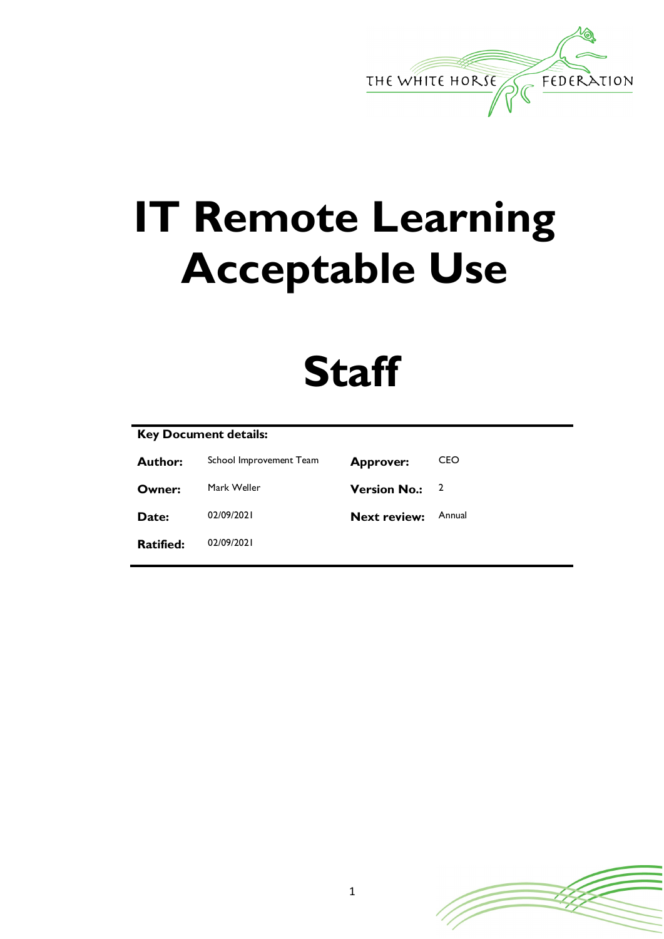

# **IT Remote Learning Acceptable Use**

# **Staff**

# **Key Document details:**

| <b>Author:</b>   | School Improvement Team | <b>Approver:</b>    | CEO    |
|------------------|-------------------------|---------------------|--------|
| Owner:           | Mark Weller             | <b>Version No.:</b> |        |
| Date:            | 02/09/2021              | <b>Next review:</b> | Annual |
| <b>Ratified:</b> | 02/09/2021              |                     |        |

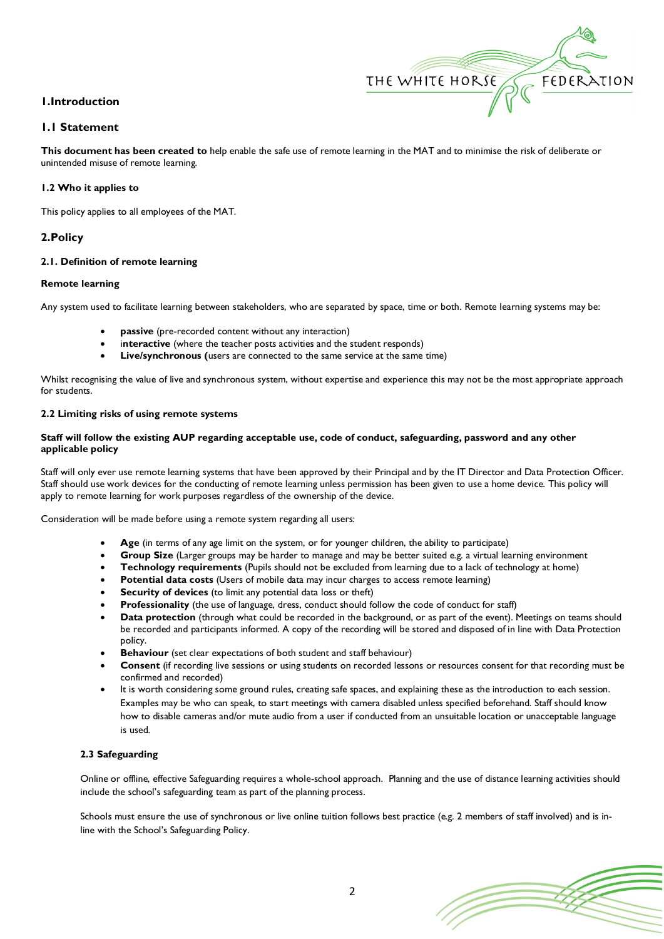## **1.Introduction**

## **1.1 Statement**

**This document has been created to** help enable the safe use of remote learning in the MAT and to minimise the risk of deliberate or unintended misuse of remote learning.

THE WHITE HORSE

FEDERATION

#### **1.2 Who it applies to**

This policy applies to all employees of the MAT.

### **2.Policy**

#### **2.1. Definition of remote learning**

#### **Remote learning**

Any system used to facilitate learning between stakeholders, who are separated by space, time or both. Remote learning systems may be:

- **passive** (pre-recorded content without any interaction)
- interactive (where the teacher posts activities and the student responds)
- **Live/synchronous (**users are connected to the same service at the same time)

Whilst recognising the value of live and synchronous system, without expertise and experience this may not be the most appropriate approach for students.

#### **2.2 Limiting risks of using remote systems**

#### **Staff will follow the existing AUP regarding acceptable use, code of conduct, safeguarding, password and any other applicable policy**

Staff will only ever use remote learning systems that have been approved by their Principal and by the IT Director and Data Protection Officer. Staff should use work devices for the conducting of remote learning unless permission has been given to use a home device. This policy will apply to remote learning for work purposes regardless of the ownership of the device.

Consideration will be made before using a remote system regarding all users:

- Age (in terms of any age limit on the system, or for younger children, the ability to participate)
- **Group Size** (Larger groups may be harder to manage and may be better suited e.g. a virtual learning environment
- **Technology requirements** (Pupils should not be excluded from learning due to a lack of technology at home)
- **Potential data costs** (Users of mobile data may incur charges to access remote learning)
- **Security of devices** (to limit any potential data loss or theft)
- **Professionality** (the use of language, dress, conduct should follow the code of conduct for staff)
- **Data protection** (through what could be recorded in the background, or as part of the event). Meetings on teams should be recorded and participants informed. A copy of the recording will be stored and disposed of in line with Data Protection policy.
- **Behaviour** (set clear expectations of both student and staff behaviour)
- **Consent** (if recording live sessions or using students on recorded lessons or resources consent for that recording must be confirmed and recorded)
- It is worth considering some ground rules, creating safe spaces, and explaining these as the introduction to each session. Examples may be who can speak, to start meetings with camera disabled unless specified beforehand. Staff should know how to disable cameras and/or mute audio from a user if conducted from an unsuitable location or unacceptable language is used.

#### **2.3 Safeguarding**

Online or offline, effective Safeguarding requires a whole-school approach. Planning and the use of distance learning activities should include the school's safeguarding team as part of the planning process.

Schools must ensure the use of synchronous or live online tuition follows best practice (e.g. 2 members of staff involved) and is inline with the School's Safeguarding Policy.